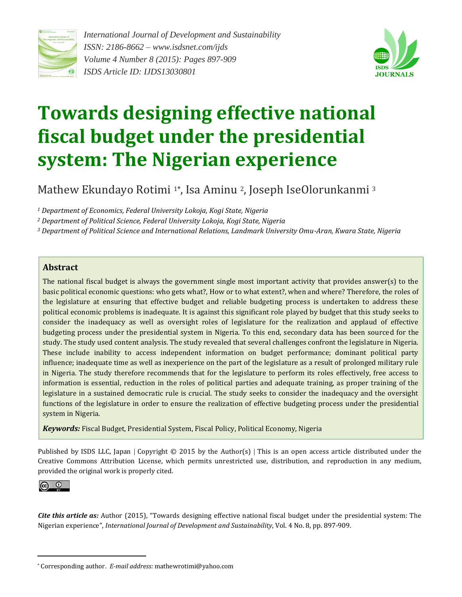

*International Journal of Development and Sustainability ISSN: 2186-8662* – *www.isdsnet.com/ijds Volume 4 Number 8 (2015): Pages 897-909 ISDS Article ID: IJDS13030801*



# **Towards designing effective national fiscal budget under the presidential system: The Nigerian experience**

Mathew Ekundayo Rotimi <sup>1</sup>**\*** , Isa Aminu 2, Joseph IseOlorunkanmi <sup>3</sup>

*<sup>1</sup> Department of Economics, Federal University Lokoja, Kogi State, Nigeria*

*<sup>2</sup> Department of Political Science, Federal University Lokoja, Kogi State, Nigeria*

*<sup>3</sup> Department of Political Science and International Relations, Landmark University Omu-Aran, Kwara State, Nigeria*

#### **Abstract**

The national fiscal budget is always the government single most important activity that provides answer(s) to the basic political economic questions: who gets what?, How or to what extent?, when and where? Therefore, the roles of the legislature at ensuring that effective budget and reliable budgeting process is undertaken to address these political economic problems is inadequate. It is against this significant role played by budget that this study seeks to consider the inadequacy as well as oversight roles of legislature for the realization and applaud of effective budgeting process under the presidential system in Nigeria. To this end, secondary data has been sourced for the study. The study used content analysis. The study revealed that several challenges confront the legislature in Nigeria. These include inability to access independent information on budget performance; dominant political party influence; inadequate time as well as inexperience on the part of the legislature as a result of prolonged military rule in Nigeria. The study therefore recommends that for the legislature to perform its roles effectively, free access to information is essential, reduction in the roles of political parties and adequate training, as proper training of the legislature in a sustained democratic rule is crucial. The study seeks to consider the inadequacy and the oversight functions of the legislature in order to ensure the realization of effective budgeting process under the presidential system in Nigeria.

*Keywords:* Fiscal Budget, Presidential System, Fiscal Policy, Political Economy, Nigeria

Published by ISDS LLC, Japan | Copyright  $\odot$  2015 by the Author(s) | This is an open access article distributed under the Creative Commons Attribution License, which permits unrestricted use, distribution, and reproduction in any medium, provided the original work is properly cited.



 $\overline{a}$ 

*Cite this article as:* Author (2015), "Towards designing effective national fiscal budget under the presidential system: The Nigerian experience", *International Journal of Development and Sustainability*, Vol. 4 No. 8, pp. 897-909.

<sup>\*</sup> Corresponding author. *E-mail address:* mathewrotimi@yahoo.com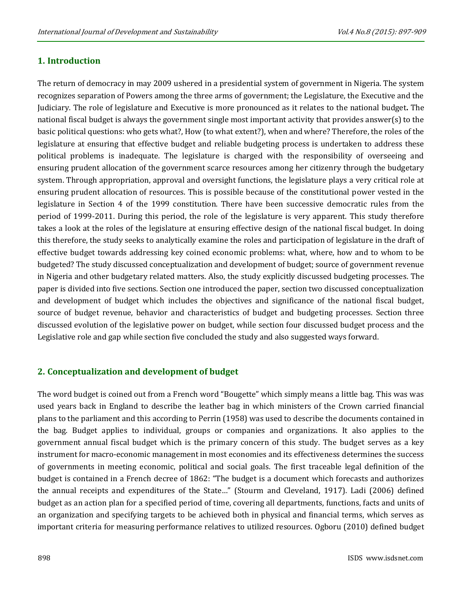# **1. Introduction**

The return of democracy in may 2009 ushered in a presidential system of government in Nigeria. The system recognizes separation of Powers among the three arms of government; the Legislature, the Executive and the Judiciary. The role of legislature and Executive is more pronounced as it relates to the national budget**.** The national fiscal budget is always the government single most important activity that provides answer(s) to the basic political questions: who gets what?, How (to what extent?), when and where? Therefore, the roles of the legislature at ensuring that effective budget and reliable budgeting process is undertaken to address these political problems is inadequate. The legislature is charged with the responsibility of overseeing and ensuring prudent allocation of the government scarce resources among her citizenry through the budgetary system. Through appropriation, approval and oversight functions, the legislature plays a very critical role at ensuring prudent allocation of resources. This is possible because of the constitutional power vested in the legislature in Section 4 of the 1999 constitution. There have been successive democratic rules from the period of 1999-2011. During this period, the role of the legislature is very apparent. This study therefore takes a look at the roles of the legislature at ensuring effective design of the national fiscal budget. In doing this therefore, the study seeks to analytically examine the roles and participation of legislature in the draft of effective budget towards addressing key coined economic problems: what, where, how and to whom to be budgeted? The study discussed conceptualization and development of budget; source of government revenue in Nigeria and other budgetary related matters. Also, the study explicitly discussed budgeting processes. The paper is divided into five sections. Section one introduced the paper, section two discussed conceptualization and development of budget which includes the objectives and significance of the national fiscal budget, source of budget revenue, behavior and characteristics of budget and budgeting processes. Section three discussed evolution of the legislative power on budget, while section four discussed budget process and the Legislative role and gap while section five concluded the study and also suggested ways forward.

# **2. Conceptualization and development of budget**

The word budget is coined out from a French word "Bougette" which simply means a little bag. This was was used years back in England to describe the leather bag in which ministers of the Crown carried financial plans to the parliament and this according to Perrin (1958) was used to describe the documents contained in the bag. Budget applies to individual, groups or companies and organizations. It also applies to the government annual fiscal budget which is the primary concern of this study. The budget serves as a key instrument for macro-economic management in most economies and its effectiveness determines the success of governments in meeting economic, political and social goals. The first traceable legal definition of the budget is contained in a French decree of 1862: "The budget is a document which forecasts and authorizes the annual receipts and expenditures of the State…" (Stourm and Cleveland, 1917). Ladi (2006) defined budget as an action plan for a specified period of time, covering all departments, functions, facts and units of an organization and specifying targets to be achieved both in physical and financial terms, which serves as important criteria for measuring performance relatives to utilized resources. Ogboru (2010) defined budget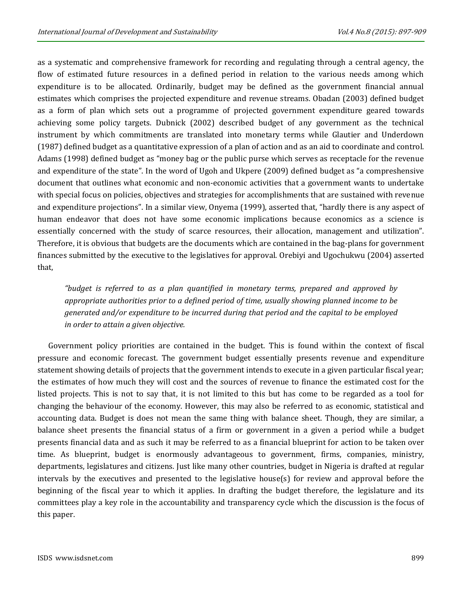as a systematic and comprehensive framework for recording and regulating through a central agency, the flow of estimated future resources in a defined period in relation to the various needs among which expenditure is to be allocated. Ordinarily, budget may be defined as the government financial annual estimates which comprises the projected expenditure and revenue streams. Obadan (2003) defined budget as a form of plan which sets out a programme of projected government expenditure geared towards achieving some policy targets. Dubnick (2002) described budget of any government as the technical instrument by which commitments are translated into monetary terms while Glautier and Underdown (1987) defined budget as a quantitative expression of a plan of action and as an aid to coordinate and control. Adams (1998) defined budget as "money bag or the public purse which serves as receptacle for the revenue and expenditure of the state". In the word of Ugoh and Ukpere (2009) defined budget as "a compreshensive document that outlines what economic and non-economic activities that a government wants to undertake with special focus on policies, objectives and strategies for accomplishments that are sustained with revenue and expenditure projections". In a similar view, Onyema (1999), asserted that, "hardly there is any aspect of human endeavor that does not have some economic implications because economics as a science is essentially concerned with the study of scarce resources, their allocation, management and utilization". Therefore, it is obvious that budgets are the documents which are contained in the bag-plans for government finances submitted by the executive to the legislatives for approval. Orebiyi and Ugochukwu (2004) asserted that,

*"budget is referred to as a plan quantified in monetary terms, prepared and approved by appropriate authorities prior to a defined period of time, usually showing planned income to be generated and/or expenditure to be incurred during that period and the capital to be employed in order to attain a given objective.*

Government policy priorities are contained in the budget. This is found within the context of fiscal pressure and economic forecast. The government budget essentially presents revenue and expenditure statement showing details of projects that the government intends to execute in a given particular fiscal year; the estimates of how much they will cost and the sources of revenue to finance the estimated cost for the listed projects. This is not to say that, it is not limited to this but has come to be regarded as a tool for changing the behaviour of the economy. However, this may also be referred to as economic, statistical and accounting data. Budget is does not mean the same thing with balance sheet. Though, they are similar, a balance sheet presents the financial status of a firm or government in a given a period while a budget presents financial data and as such it may be referred to as a financial blueprint for action to be taken over time. As blueprint, budget is enormously advantageous to government, firms, companies, ministry, departments, legislatures and citizens. Just like many other countries, budget in Nigeria is drafted at regular intervals by the executives and presented to the legislative house(s) for review and approval before the beginning of the fiscal year to which it applies. In drafting the budget therefore, the legislature and its committees play a key role in the accountability and transparency cycle which the discussion is the focus of this paper.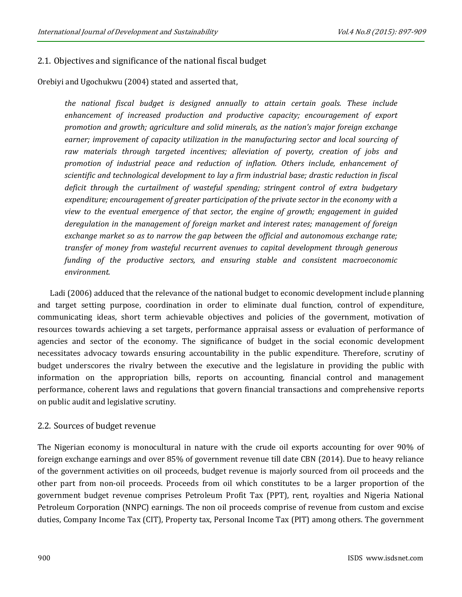# 2.1. Objectives and significance of the national fiscal budget

Orebiyi and Ugochukwu (2004) stated and asserted that,

*the national fiscal budget is designed annually to attain certain goals. These include enhancement of increased production and productive capacity; encouragement of export promotion and growth; agriculture and solid minerals, as the nation's major foreign exchange earner; improvement of capacity utilization in the manufacturing sector and local sourcing of raw materials through targeted incentives; alleviation of poverty, creation of jobs and promotion of industrial peace and reduction of inflation. Others include, enhancement of scientific and technological development to lay a firm industrial base; drastic reduction in fiscal deficit through the curtailment of wasteful spending; stringent control of extra budgetary expenditure; encouragement of greater participation of the private sector in the economy with a view to the eventual emergence of that sector, the engine of growth; engagement in guided deregulation in the management of foreign market and interest rates; management of foreign exchange market so as to narrow the gap between the official and autonomous exchange rate; transfer of money from wasteful recurrent avenues to capital development through generous funding of the productive sectors, and ensuring stable and consistent macroeconomic environment.*

Ladi (2006) adduced that the relevance of the national budget to economic development include planning and target setting purpose, coordination in order to eliminate dual function, control of expenditure, communicating ideas, short term achievable objectives and policies of the government, motivation of resources towards achieving a set targets, performance appraisal assess or evaluation of performance of agencies and sector of the economy. The significance of budget in the social economic development necessitates advocacy towards ensuring accountability in the public expenditure. Therefore, scrutiny of budget underscores the rivalry between the executive and the legislature in providing the public with information on the appropriation bills, reports on accounting, financial control and management performance, coherent laws and regulations that govern financial transactions and comprehensive reports on public audit and legislative scrutiny.

### 2.2. Sources of budget revenue

The Nigerian economy is monocultural in nature with the crude oil exports accounting for over 90% of foreign exchange earnings and over 85% of government revenue till date CBN (2014). Due to heavy reliance of the government activities on oil proceeds, budget revenue is majorly sourced from oil proceeds and the other part from non-oil proceeds. Proceeds from oil which constitutes to be a larger proportion of the government budget revenue comprises Petroleum Profit Tax (PPT), rent, royalties and Nigeria National Petroleum Corporation (NNPC) earnings. The non oil proceeds comprise of revenue from custom and excise duties, Company Income Tax (CIT), Property tax, Personal Income Tax (PIT) among others. The government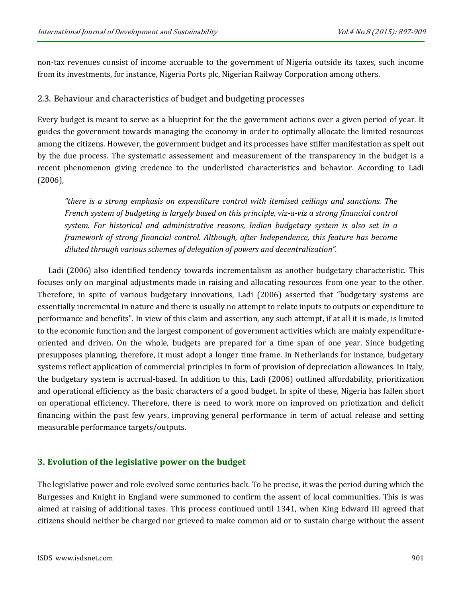non-tax revenues consist of income accruable to the government of Nigeria outside its taxes, such income from its investments, for instance, Nigeria Ports plc, Nigerian Railway Corporation among others.

# 2.3. Behaviour and characteristics of budget and budgeting processes

Every budget is meant to serve as a blueprint for the the government actions over a given period of year. It guides the government towards managing the economy in order to optimally allocate the limited resources among the citizens. However, the government budget and its processes have stiffer manifestation as spelt out by the due process. The systematic assessement and measurement of the transparency in the budget is a recent phenomenon giving credence to the underlisted characteristics and behavior. According to Ladi (2006),

*"there is a strong emphasis on expenditure control with itemised ceilings and sanctions. The French system of budgeting is largely based on this principle, viz-a-viz a strong financial control system. For historical and administrative reasons, Indian budgetary system is also set in a framework of strong financial control. Although, after Independence, this feature has become diluted through various schemes of delegation of powers and decentralization".* 

Ladi (2006) also identified tendency towards incrementalism as another budgetary characteristic. This focuses only on marginal adjustments made in raising and allocating resources from one year to the other. Therefore, in spite of various budgetary innovations, Ladi (2006) asserted that "budgetary systems are essentially incremental in nature and there is usually no attempt to relate inputs to outputs or expenditure to performance and benefits". In view of this claim and assertion, any such attempt, if at all it is made, is limited to the economic function and the largest component of government activities which are mainly expenditureoriented and driven. On the whole, budgets are prepared for a time span of one year. Since budgeting presupposes planning, therefore, it must adopt a longer time frame. In Netherlands for instance, budgetary systems reflect application of commercial principles in form of provision of depreciation allowances. In Italy, the budgetary system is accrual-based. In addition to this, Ladi (2006) outlined affordability, prioritization and operational efficiency as the basic characters of a good budget. In spite of these, Nigeria has fallen short on operational efficiency. Therefore, there is need to work more on improved on priotization and deficit financing within the past few years, improving general performance in term of actual release and setting measurable performance targets/outputs.

# **3. Evolution of the legislative power on the budget**

The legislative power and role evolved some centuries back. To be precise, it was the period during which the Burgesses and Knight in England were summoned to confirm the assent of local communities. This is was aimed at raising of additional taxes. This process continued until 1341, when King Edward III agreed that citizens should neither be charged nor grieved to make common aid or to sustain charge without the assent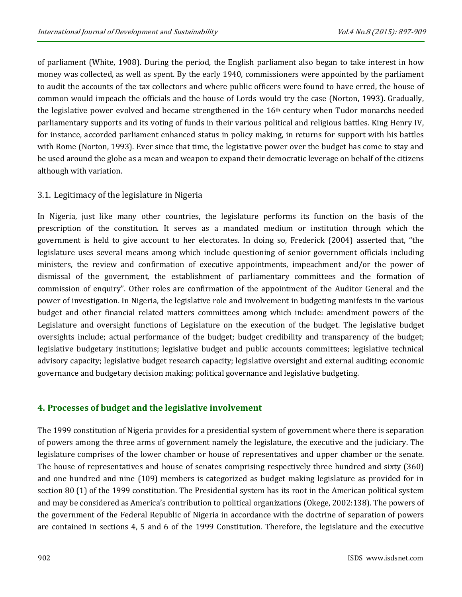of parliament (White, 1908). During the period, the English parliament also began to take interest in how money was collected, as well as spent. By the early 1940, commissioners were appointed by the parliament to audit the accounts of the tax collectors and where public officers were found to have erred, the house of common would impeach the officials and the house of Lords would try the case (Norton, 1993). Gradually, the legislative power evolved and became strengthened in the 16th century when Tudor monarchs needed parliamentary supports and its voting of funds in their various political and religious battles. King Henry IV, for instance, accorded parliament enhanced status in policy making, in returns for support with his battles with Rome (Norton, 1993). Ever since that time, the legistative power over the budget has come to stay and be used around the globe as a mean and weapon to expand their democratic leverage on behalf of the citizens although with variation.

# 3.1. Legitimacy of the legislature in Nigeria

In Nigeria, just like many other countries, the legislature performs its function on the basis of the prescription of the constitution. It serves as a mandated medium or institution through which the government is held to give account to her electorates. In doing so, Frederick (2004) asserted that, "the legislature uses several means among which include questioning of senior government officials including ministers, the review and confirmation of executive appointments, impeachment and/or the power of dismissal of the government, the establishment of parliamentary committees and the formation of commission of enquiry". Other roles are confirmation of the appointment of the Auditor General and the power of investigation. In Nigeria, the legislative role and involvement in budgeting manifests in the various budget and other financial related matters committees among which include: amendment powers of the Legislature and oversight functions of Legislature on the execution of the budget. The legislative budget oversights include; actual performance of the budget; budget credibility and transparency of the budget; legislative budgetary institutions; legislative budget and public accounts committees; legislative technical advisory capacity; legislative budget research capacity; legislative oversight and external auditing; economic governance and budgetary decision making; political governance and legislative budgeting.

# **4. Processes of budget and the legislative involvement**

The 1999 constitution of Nigeria provides for a presidential system of government where there is separation of powers among the three arms of government namely the legislature, the executive and the judiciary. The legislature comprises of the lower chamber or house of representatives and upper chamber or the senate. The house of representatives and house of senates comprising respectively three hundred and sixty (360) and one hundred and nine (109) members is categorized as budget making legislature as provided for in section 80 (1) of the 1999 constitution. The Presidential system has its root in the American political system and may be considered as America's contribution to political organizations (Okege, 2002:138). The powers of the government of the Federal Republic of Nigeria in accordance with the doctrine of separation of powers are contained in sections 4, 5 and 6 of the 1999 Constitution. Therefore, the legislature and the executive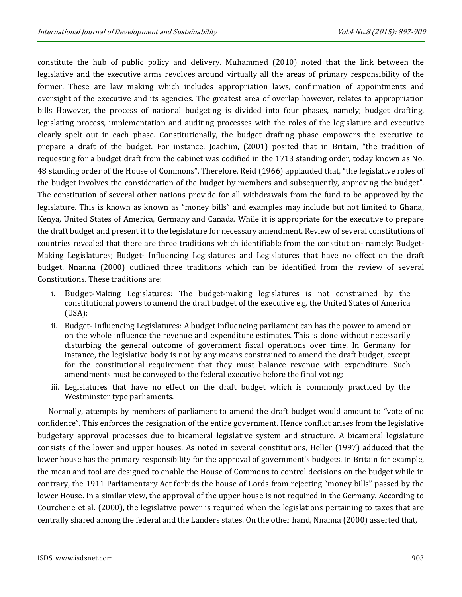constitute the hub of public policy and delivery. Muhammed (2010) noted that the link between the legislative and the executive arms revolves around virtually all the areas of primary responsibility of the former. These are law making which includes appropriation laws, confirmation of appointments and oversight of the executive and its agencies. The greatest area of overlap however, relates to appropriation bills However, the process of national budgeting is divided into four phases, namely; budget drafting, legislating process, implementation and auditing processes with the roles of the legislature and executive clearly spelt out in each phase. Constitutionally, the budget drafting phase empowers the executive to prepare a draft of the budget. For instance, Joachim, (2001) posited that in Britain, "the tradition of requesting for a budget draft from the cabinet was codified in the 1713 standing order, today known as No. 48 standing order of the House of Commons". Therefore, Reid (1966) applauded that, "the legislative roles of the budget involves the consideration of the budget by members and subsequently, approving the budget". The constitution of several other nations provide for all withdrawals from the fund to be approved by the legislature. This is known as known as "money bills" and examples may include but not limited to Ghana, Kenya, United States of America, Germany and Canada. While it is appropriate for the executive to prepare the draft budget and present it to the legislature for necessary amendment. Review of several constitutions of countries revealed that there are three traditions which identifiable from the constitution- namely: Budget-Making Legislatures; Budget- Influencing Legislatures and Legislatures that have no effect on the draft budget. Nnanna (2000) outlined three traditions which can be identified from the review of several Constitutions. These traditions are:

- i. Budget-Making Legislatures: The budget-making legislatures is not constrained by the constitutional powers to amend the draft budget of the executive e.g. the United States of America (USA);
- ii. Budget- Influencing Legislatures: A budget influencing parliament can has the power to amend or on the whole influence the revenue and expenditure estimates. This is done without necessarily disturbing the general outcome of government fiscal operations over time. In Germany for instance, the legislative body is not by any means constrained to amend the draft budget, except for the constitutional requirement that they must balance revenue with expenditure. Such amendments must be conveyed to the federal executive before the final voting;
- iii. Legislatures that have no effect on the draft budget which is commonly practiced by the Westminster type parliaments.

Normally, attempts by members of parliament to amend the draft budget would amount to "vote of no confidence". This enforces the resignation of the entire government. Hence conflict arises from the legislative budgetary approval processes due to bicameral legislative system and structure. A bicameral legislature consists of the lower and upper houses. As noted in several constitutions, Heller (1997) adduced that the lower house has the primary responsibility for the approval of government's budgets. In Britain for example, the mean and tool are designed to enable the House of Commons to control decisions on the budget while in contrary, the 1911 Parliamentary Act forbids the house of Lords from rejecting "money bills" passed by the lower House. In a similar view, the approval of the upper house is not required in the Germany. According to Courchene et al. (2000), the legislative power is required when the legislations pertaining to taxes that are centrally shared among the federal and the Landers states. On the other hand, Nnanna (2000) asserted that,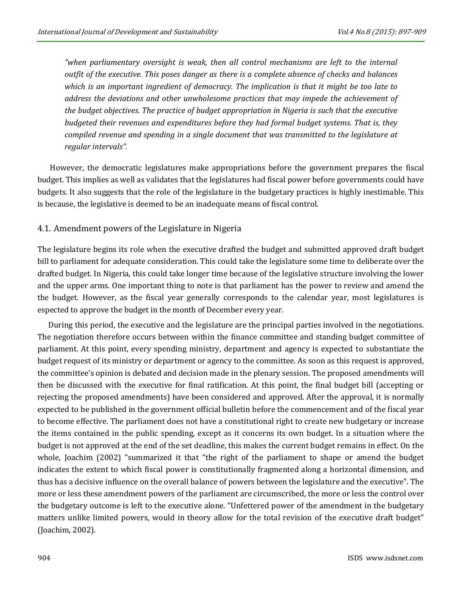*"when parliamentary oversight is weak, then all control mechanisms are left to the internal outfit of the executive. This poses danger as there is a complete absence of checks and balances which is an important ingredient of democracy. The implication is that it might be too late to address the deviations and other unwholesome practices that may impede the achievement of the budget objectives. The practice of budget appropriation in Nigeria is such that the executive budgeted their revenues and expenditures before they had formal budget systems. That is, they compiled revenue and spending in a single document that was transmitted to the legislature at regular intervals".*

However, the democratic legislatures make appropriations before the government prepares the fiscal budget. This implies as well as validates that the legislatures had fiscal power before governments could have budgets. It also suggests that the role of the legislature in the budgetary practices is highly inestimable. This is because, the legislative is deemed to be an inadequate means of fiscal control.

## 4.1. Amendment powers of the Legislature in Nigeria

The legislature begins its role when the executive drafted the budget and submitted approved draft budget bill to parliament for adequate consideration. This could take the legislature some time to deliberate over the drafted budget. In Nigeria, this could take longer time because of the legislative structure involving the lower and the upper arms. One important thing to note is that parliament has the power to review and amend the the budget. However, as the fiscal year generally corresponds to the calendar year, most legislatures is espected to approve the budget in the month of December every year.

During this period, the executive and the legislature are the principal parties involved in the negotiations. The negotiation therefore occurs between within the finance committee and standing budget committee of parliament. At this point, every spending ministry, department and agency is expected to substantiate the budget request of its ministry or department or agency to the committee. As soon as this request is approved, the committee's opinion is debated and decision made in the plenary session. The proposed amendments will then be discussed with the executive for final ratification. At this point, the final budget bill (accepting or rejecting the proposed amendments) have been considered and approved. After the approval, it is normally expected to be published in the government official bulletin before the commencement and of the fiscal year to become effective. The parliament does not have a constitutional right to create new budgetary or increase the items contained in the public spending, except as it concerns its own budget. In a situation where the budget is not approved at the end of the set deadline, this makes the current budget remains in effect. On the whole, Joachim (2002) "summarized it that "the right of the parliament to shape or amend the budget indicates the extent to which fiscal power is constitutionally fragmented along a horizontal dimension, and thus has a decisive influence on the overall balance of powers between the legislature and the executive". The more or less these amendment powers of the parliament are circumscribed, the more or less the control over the budgetary outcome is left to the executive alone. "Unfettered power of the amendment in the budgetary matters unlike limited powers, would in theory allow for the total revision of the executive draft budget" (Joachim, 2002).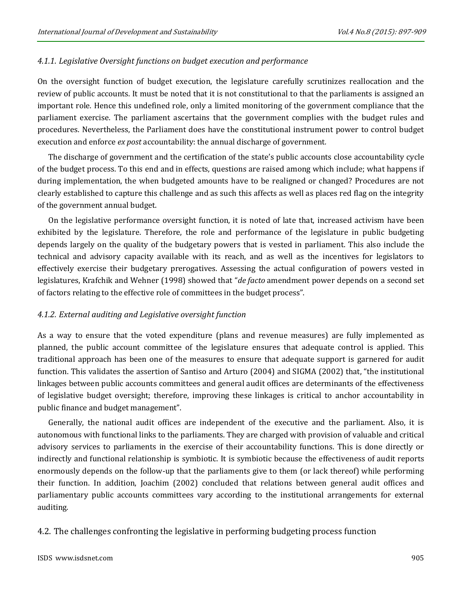#### *4.1.1. Legislative Oversight functions on budget execution and performance*

On the oversight function of budget execution, the legislature carefully scrutinizes reallocation and the review of public accounts. It must be noted that it is not constitutional to that the parliaments is assigned an important role. Hence this undefined role, only a limited monitoring of the government compliance that the parliament exercise. The parliament ascertains that the government complies with the budget rules and procedures. Nevertheless, the Parliament does have the constitutional instrument power to control budget execution and enforce *ex post* accountability: the annual discharge of government*.* 

The discharge of government and the certification of the state's public accounts close accountability cycle of the budget process. To this end and in effects, questions are raised among which include; what happens if during implementation, the when budgeted amounts have to be realigned or changed? Procedures are not clearly established to capture this challenge and as such this affects as well as places red flag on the integrity of the government annual budget.

On the legislative performance oversight function, it is noted of late that, increased activism have been exhibited by the legislature. Therefore, the role and performance of the legislature in public budgeting depends largely on the quality of the budgetary powers that is vested in parliament. This also include the technical and advisory capacity available with its reach, and as well as the incentives for legislators to effectively exercise their budgetary prerogatives. Assessing the actual configuration of powers vested in legislatures, Krafchik and Wehner (1998) showed that "*de facto* amendment power depends on a second set of factors relating to the effective role of committees in the budget process".

#### *4.1.2. External auditing and Legislative oversight function*

As a way to ensure that the voted expenditure (plans and revenue measures) are fully implemented as planned, the public account committee of the legislature ensures that adequate control is applied. This traditional approach has been one of the measures to ensure that adequate support is garnered for audit function. This validates the assertion of Santiso and Arturo (2004) and SIGMA (2002) that, "the institutional linkages between public accounts committees and general audit offices are determinants of the effectiveness of legislative budget oversight; therefore, improving these linkages is critical to anchor accountability in public finance and budget management".

Generally, the national audit offices are independent of the executive and the parliament. Also, it is autonomous with functional links to the parliaments. They are charged with provision of valuable and critical advisory services to parliaments in the exercise of their accountability functions. This is done directly or indirectly and functional relationship is symbiotic. It is symbiotic because the effectiveness of audit reports enormously depends on the follow-up that the parliaments give to them (or lack thereof) while performing their function. In addition, Joachim (2002) concluded that relations between general audit offices and parliamentary public accounts committees vary according to the institutional arrangements for external auditing.

4.2. The challenges confronting the legislative in performing budgeting process function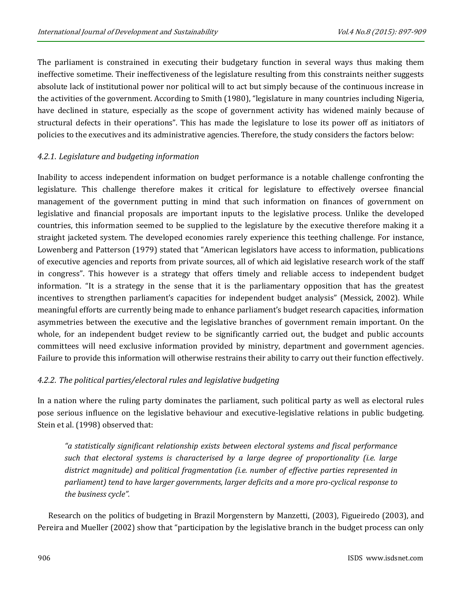The parliament is constrained in executing their budgetary function in several ways thus making them ineffective sometime. Their ineffectiveness of the legislature resulting from this constraints neither suggests absolute lack of institutional power nor political will to act but simply because of the continuous increase in the activities of the government. According to Smith (1980), "legislature in many countries including Nigeria, have declined in stature, especially as the scope of government activity has widened mainly because of structural defects in their operations". This has made the legislature to lose its power off as initiators of policies to the executives and its administrative agencies. Therefore, the study considers the factors below:

## *4.2.1. Legislature and budgeting information*

Inability to access independent information on budget performance is a notable challenge confronting the legislature. This challenge therefore makes it critical for legislature to effectively oversee financial management of the government putting in mind that such information on finances of government on legislative and financial proposals are important inputs to the legislative process. Unlike the developed countries, this information seemed to be supplied to the legislature by the executive therefore making it a straight jacketed system. The developed economies rarely experience this teething challenge. For instance, Lowenberg and Patterson (1979) stated that "American legislators have access to information, publications of executive agencies and reports from private sources, all of which aid legislative research work of the staff in congress". This however is a strategy that offers timely and reliable access to independent budget information. "It is a strategy in the sense that it is the parliamentary opposition that has the greatest incentives to strengthen parliament's capacities for independent budget analysis" (Messick, 2002). While meaningful efforts are currently being made to enhance parliament's budget research capacities, information asymmetries between the executive and the legislative branches of government remain important. On the whole, for an independent budget review to be significantly carried out, the budget and public accounts committees will need exclusive information provided by ministry, department and government agencies. Failure to provide this information will otherwise restrains their ability to carry out their function effectively.

# *4.2.2. The political parties/electoral rules and legislative budgeting*

In a nation where the ruling party dominates the parliament, such political party as well as electoral rules pose serious influence on the legislative behaviour and executive-legislative relations in public budgeting. Stein et al. (1998) observed that:

*"a statistically significant relationship exists between electoral systems and fiscal performance such that electoral systems is characterised by a large degree of proportionality (i.e. large district magnitude) and political fragmentation (i.e. number of effective parties represented in parliament) tend to have larger governments, larger deficits and a more pro-cyclical response to the business cycle".* 

Research on the politics of budgeting in Brazil Morgenstern by Manzetti, (2003), Figueiredo (2003), and Pereira and Mueller (2002) show that "participation by the legislative branch in the budget process can only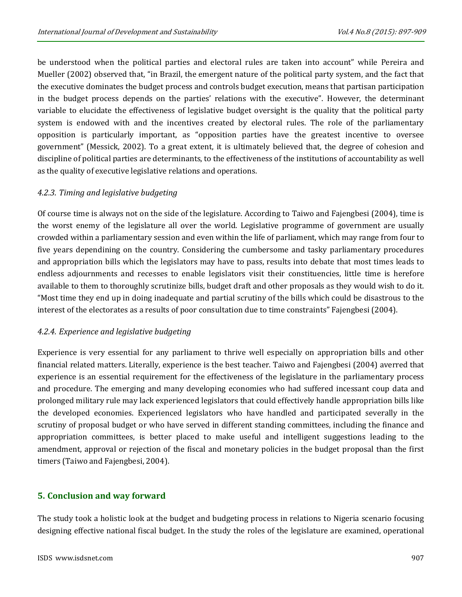be understood when the political parties and electoral rules are taken into account" while Pereira and Mueller (2002) observed that, "in Brazil, the emergent nature of the political party system, and the fact that the executive dominates the budget process and controls budget execution, means that partisan participation in the budget process depends on the parties' relations with the executive". However, the determinant variable to elucidate the effectiveness of legislative budget oversight is the quality that the political party system is endowed with and the incentives created by electoral rules. The role of the parliamentary opposition is particularly important, as "opposition parties have the greatest incentive to oversee government" (Messick, 2002). To a great extent, it is ultimately believed that, the degree of cohesion and discipline of political parties are determinants, to the effectiveness of the institutions of accountability as well as the quality of executive legislative relations and operations.

# *4.2.3. Timing and legislative budgeting*

Of course time is always not on the side of the legislature. According to Taiwo and Fajengbesi (2004), time is the worst enemy of the legislature all over the world. Legislative programme of government are usually crowded within a parliamentary session and even within the life of parliament, which may range from four to five years dependining on the country. Considering the cumbersome and tasky parliamentary procedures and appropriation bills which the legislators may have to pass, results into debate that most times leads to endless adjournments and recesses to enable legislators visit their constituencies, little time is herefore available to them to thoroughly scrutinize bills, budget draft and other proposals as they would wish to do it. "Most time they end up in doing inadequate and partial scrutiny of the bills which could be disastrous to the interest of the electorates as a results of poor consultation due to time constraints" Fajengbesi (2004).

# *4.2.4. Experience and legislative budgeting*

Experience is very essential for any parliament to thrive well especially on appropriation bills and other financial related matters. Literally, experience is the best teacher. Taiwo and Fajengbesi (2004) averred that experience is an essential requirement for the effectiveness of the legislature in the parliamentary process and procedure. The emerging and many developing economies who had suffered incessant coup data and prolonged military rule may lack experienced legislators that could effectively handle appropriation bills like the developed economies. Experienced legislators who have handled and participated severally in the scrutiny of proposal budget or who have served in different standing committees, including the finance and appropriation committees, is better placed to make useful and intelligent suggestions leading to the amendment, approval or rejection of the fiscal and monetary policies in the budget proposal than the first timers (Taiwo and Fajengbesi, 2004).

# **5. Conclusion and way forward**

The study took a holistic look at the budget and budgeting process in relations to Nigeria scenario focusing designing effective national fiscal budget. In the study the roles of the legislature are examined, operational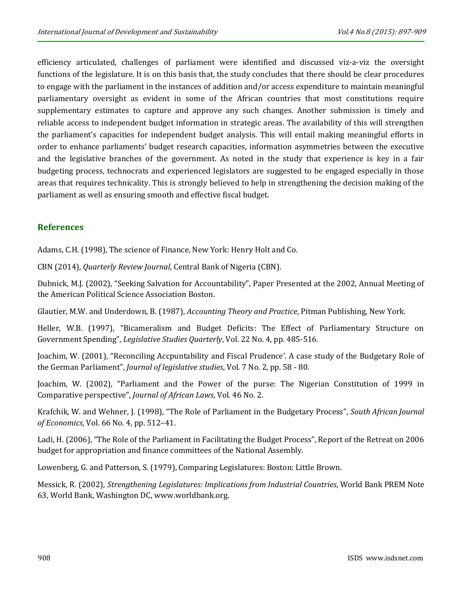efficiency articulated, challenges of parliament were identified and discussed viz-a-viz the oversight functions of the legislature. It is on this basis that, the study concludes that there should be clear procedures to engage with the parliament in the instances of addition and/or access expenditure to maintain meaningful parliamentary oversight as evident in some of the African countries that most constitutions require supplementary estimates to capture and approve any such changes. Another submission is timely and reliable access to independent budget information in strategic areas. The availability of this will strengthen the parliament's capacities for independent budget analysis. This will entail making meaningful efforts in order to enhance parliaments' budget research capacities, information asymmetries between the executive and the legislative branches of the government. As noted in the study that experience is key in a fair budgeting process, technocrats and experienced legislators are suggested to be engaged especially in those areas that requires technicality. This is strongly believed to help in strengthening the decision making of the parliament as well as ensuring smooth and effective fiscal budget.

# **References**

Adams, C.H. (1998), The science of Finance, New York: Henry Holt and Co.

CBN (2014), *Quarterly Review Journal*, Central Bank of Nigeria (CBN).

Dubnick, M.J. (2002), "Seeking Salvation for Accountability", Paper Presented at the 2002, Annual Meeting of the American Political Science Association Boston.

Glautier, M.W. and Underdown, B. (1987), *Accounting Theory and Practice*, Pitman Publishing, New York.

Heller, W.B. (1997), "Bicameralism and Budget Deficits: The Effect of Parliamentary Structure on Government Spending", *Legislative Studies Quarterly*, Vol. 22 No. 4, pp. 485-516.

Joachim, W. (2001), "Reconciling Accpuntability and Fiscal Prudence'. A case study of the Budgetary Role of the German Parliament", *Journal of legislative studies*, Vol. 7 No. 2, pp. 58 - 80.

Joachim, W. (2002), "Parliament and the Power of the purse: The Nigerian Constitution of 1999 in Comparative perspective", *Journal of African Laws*, Vol. 46 No. 2.

Krafchik, W. and Wehner, J. (1998), "The Role of Parliament in the Budgetary Process", *South African Journal of Economics*, Vol. 66 No. 4, pp. 512–41.

Ladi, H. (2006), "The Role of the Parliament in Facilitating the Budget Process", Report of the Retreat on 2006 budget for appropriation and finance committees of the National Assembly.

Lowenberg, G. and Patterson, S. (1979), Comparing Legislatures: Boston: Little Brown.

Messick, R. (2002), *Strengthening Legislatures: Implications from Industrial Countries*, World Bank PREM Note 63, World Bank, Washington DC[, www.worldbank.org.](http://www.worldbank.org/)